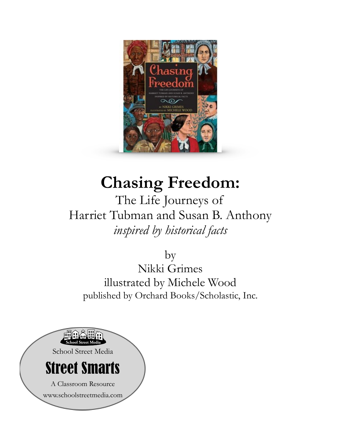

# **Chasing Freedom:**

The Life Journeys of Harriet Tubman and Susan B. Anthony *inspired by historical facts* 

by

Nikki Grimes illustrated by Michele Wood published by Orchard Books/Scholastic, Inc.

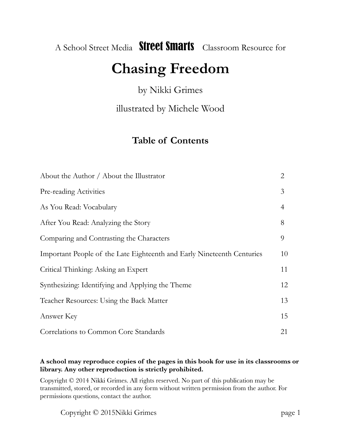# A School Street Media Street Smarts Classroom Resource for

# **Chasing Freedom**

# by Nikki Grimes

illustrated by Michele Wood

# **Table of Contents**

| About the Author / About the Illustrator                               | $\overline{2}$ |
|------------------------------------------------------------------------|----------------|
| Pre-reading Activities                                                 | 3              |
| As You Read: Vocabulary                                                | $\overline{4}$ |
| After You Read: Analyzing the Story                                    | 8              |
| Comparing and Contrasting the Characters                               | 9              |
| Important People of the Late Eighteenth and Early Nineteenth Centuries | 10             |
| Critical Thinking: Asking an Expert                                    | 11             |
| Synthesizing: Identifying and Applying the Theme                       | 12             |
| Teacher Resources: Using the Back Matter                               | 13             |
| Answer Key                                                             | 15             |
| Correlations to Common Core Standards                                  | 21             |

#### **A school may reproduce copies of the pages in this book for use in its classrooms or library. Any other reproduction is strictly prohibited.**

Copyright © 2014 Nikki Grimes. All rights reserved. No part of this publication may be transmitted, stored, or recorded in any form without written permission from the author. For permissions questions, contact the author.

Copyright © 2015Nikki Grimes page 1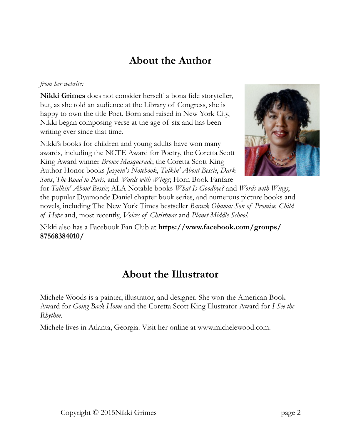# **About the Author**

### *from her website:*

**Nikki Grimes** does not consider herself a bona fide storyteller, but, as she told an audience at the Library of Congress, she is happy to own the title Poet. Born and raised in New York City, Nikki began composing verse at the age of six and has been writing ever since that time.

Nikki's books for children and young adults have won many awards, including the NCTE Award for Poetry, the Coretta Scott King Award winner *Bronx Masquerade*; the Coretta Scott King Author Honor books *Jazmin's Notebook*, *Talkin' About Bessie*, *Dark Sons*, *The Road to Paris*, and *Words with Wings*; Horn Book Fanfare



for *Talkin' About Bessie*; ALA Notable books *What Is Goodbye?* and *Words with Wings*; the popular Dyamonde Daniel chapter book series, and numerous picture books and novels, including The New York Times bestseller *Barack Obama: Son of Promise, Child of Hope* and, most recently, *Voices of Christmas* and *Planet Middle School.*

Nikki also has a Facebook Fan Club at **https://www.facebook.com/groups/ 87568384010/**

# **About the Illustrator**

Michele Woods is a painter, illustrator, and designer. She won the American Book Award for *Going Back Home* and the Coretta Scott King Illustrator Award for *I See the Rhythm*.

Michele lives in Atlanta, Georgia. Visit her online at www.michelewood.com.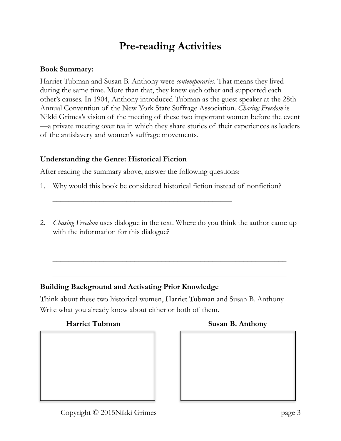# **Pre-reading Activities**

### **Book Summary:**

Harriet Tubman and Susan B. Anthony were *contemporaries*. That means they lived during the same time. More than that, they knew each other and supported each other's causes. In 1904, Anthony introduced Tubman as the guest speaker at the 28th Annual Convention of the New York State Suffrage Association. *Chasing Freedom* is Nikki Grimes's vision of the meeting of these two important women before the event —a private meeting over tea in which they share stories of their experiences as leaders of the antislavery and women's suffrage movements.

# **Understanding the Genre: Historical Fiction**

After reading the summary above, answer the following questions:

\_\_\_\_\_\_\_\_\_\_\_\_\_\_\_\_\_\_\_\_\_\_\_\_\_\_\_\_\_\_\_\_\_\_\_\_\_\_\_\_\_\_\_\_\_\_

- 1. Why would this book be considered historical fiction instead of nonfiction?
- 2. *Chasing Freedom* uses dialogue in the text. Where do you think the author came up with the information for this dialogue?

 $\overline{\phantom{a}}$  , and the contract of the contract of the contract of the contract of the contract of the contract of the contract of the contract of the contract of the contract of the contract of the contract of the contrac

 $\overline{\phantom{a}}$  , and the contract of the contract of the contract of the contract of the contract of the contract of the contract of the contract of the contract of the contract of the contract of the contract of the contrac

 $\overline{\phantom{a}}$  , and the contract of the contract of the contract of the contract of the contract of the contract of the contract of the contract of the contract of the contract of the contract of the contract of the contrac

# **Building Background and Activating Prior Knowledge**

Think about these two historical women, Harriet Tubman and Susan B. Anthony. Write what you already know about either or both of them.

#### **Harriet Tubman** Susan B. Anthony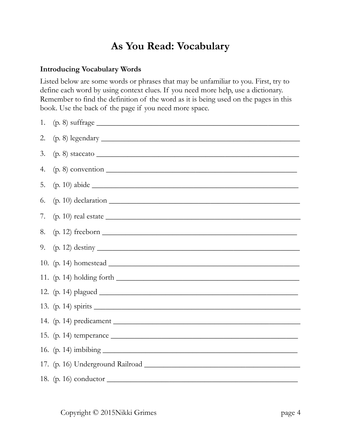# **As You Read: Vocabulary**

### **Introducing Vocabulary Words**

Listed below are some words or phrases that may be unfamiliar to you. First, try to define each word by using context clues. If you need more help, use a dictionary. Remember to find the definition of the word as it is being used on the pages in this book. Use the back of the page if you need more space.

| 1. | $(p. 8)$ suffrage $\overline{\phantom{a}}$       |
|----|--------------------------------------------------|
| 2. |                                                  |
| 3. | $(p. 8)$ staccato                                |
| 4. | $(p. 8)$ convention $\overline{\qquad \qquad }$  |
| 5. |                                                  |
| 6. | $(p. 10)$ declaration $\frac{1}{(p. 10)(p. 10)}$ |
| 7. | $(p. 10)$ real estate $\overline{\phantom{a}}$   |
| 8. |                                                  |
| 9. | $(p. 12)$ destiny                                |
|    |                                                  |
|    |                                                  |
|    |                                                  |
|    |                                                  |
|    |                                                  |
|    |                                                  |
|    |                                                  |
|    |                                                  |
|    |                                                  |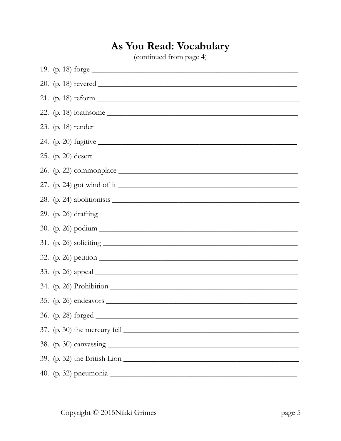# 19.  $(p. 18)$  forge 21.  $(p. 18)$  reform 22.  $(p. 18)$  loathsome 24.  $(p. 20)$  fugitive 27.  $(p. 24)$  got wind of it 28. (p. 24) abolitionists  $32.$  (p. 26) petition  $\blacksquare$ 34. (p. 26) Prohibition 36.  $(p. 28)$  forged  $39.$  (p. 32) the British Lion 40. (p. 32) pneumonia

# As You Read: Vocabulary

(continued from page 4)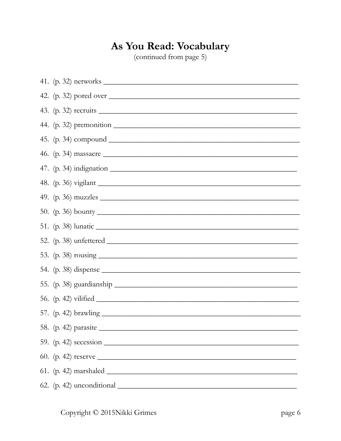# As You Read: Vocabulary

(continued from page 5)

| 42. (p. 32) pored over                           |
|--------------------------------------------------|
|                                                  |
|                                                  |
|                                                  |
|                                                  |
|                                                  |
|                                                  |
|                                                  |
|                                                  |
|                                                  |
|                                                  |
|                                                  |
|                                                  |
|                                                  |
|                                                  |
|                                                  |
|                                                  |
| 59. $(p. 42)$ secession $\overline{\phantom{1}}$ |
|                                                  |
|                                                  |
|                                                  |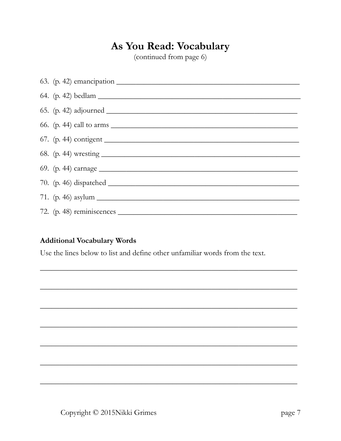# As You Read: Vocabulary

(continued from page 6)

# **Additional Vocabulary Words**

Use the lines below to list and define other unfamiliar words from the text.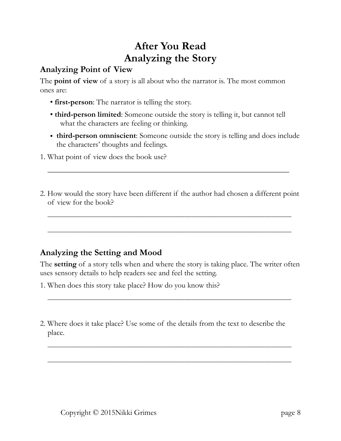# **After You Read Analyzing the Story**

# **Analyzing Point of View**

The **point of view** of a story is all about who the narrator is. The most common ones are:

- **first-person**: The narrator is telling the story.
- **third-person limited**: Someone outside the story is telling it, but cannot tell what the characters are feeling or thinking.
- **third-person omniscient**: Someone outside the story is telling and does include the characters' thoughts and feelings.
- 1. What point of view does the book use?
- 2. How would the story have been different if the author had chosen a different point of view for the book?

\_\_\_\_\_\_\_\_\_\_\_\_\_\_\_\_\_\_\_\_\_\_\_\_\_\_\_\_\_\_\_\_\_\_\_\_\_\_\_\_\_\_\_\_\_\_\_\_\_\_\_\_\_\_\_\_\_\_\_\_\_\_\_\_\_\_\_\_\_\_\_\_\_

\_\_\_\_\_\_\_\_\_\_\_\_\_\_\_\_\_\_\_\_\_\_\_\_\_\_\_\_\_\_\_\_\_\_\_\_\_\_\_\_\_\_\_\_\_\_\_\_\_\_\_\_\_\_\_\_\_\_\_\_\_\_\_\_\_\_\_\_\_\_\_\_\_

 $\overline{\phantom{a}}$  , and the contract of the contract of the contract of the contract of the contract of the contract of the contract of the contract of the contract of the contract of the contract of the contract of the contrac

# **Analyzing the Setting and Mood**

The **setting** of a story tells when and where the story is taking place. The writer often uses sensory details to help readers see and feel the setting.

\_\_\_\_\_\_\_\_\_\_\_\_\_\_\_\_\_\_\_\_\_\_\_\_\_\_\_\_\_\_\_\_\_\_\_\_\_\_\_\_\_\_\_\_\_\_\_\_\_\_\_\_\_\_\_\_\_\_\_\_\_\_\_\_\_\_\_\_\_\_\_\_\_

- 1. When does this story take place? How do you know this?
- 2. Where does it take place? Use some of the details from the text to describe the place.

\_\_\_\_\_\_\_\_\_\_\_\_\_\_\_\_\_\_\_\_\_\_\_\_\_\_\_\_\_\_\_\_\_\_\_\_\_\_\_\_\_\_\_\_\_\_\_\_\_\_\_\_\_\_\_\_\_\_\_\_\_\_\_\_\_\_\_\_\_\_\_\_\_

\_\_\_\_\_\_\_\_\_\_\_\_\_\_\_\_\_\_\_\_\_\_\_\_\_\_\_\_\_\_\_\_\_\_\_\_\_\_\_\_\_\_\_\_\_\_\_\_\_\_\_\_\_\_\_\_\_\_\_\_\_\_\_\_\_\_\_\_\_\_\_\_\_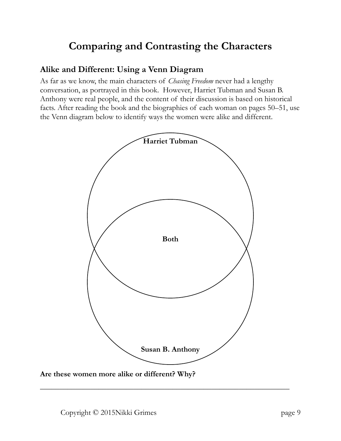# **Comparing and Contrasting the Characters**

# **Alike and Different: Using a Venn Diagram**

As far as we know, the main characters of *Chasing Freedom* never had a lengthy conversation, as portrayed in this book. However, Harriet Tubman and Susan B. Anthony were real people, and the content of their discussion is based on historical facts. After reading the book and the biographies of each woman on pages 50–51, use the Venn diagram below to identify ways the women were alike and different.



**\_\_\_\_\_\_\_\_\_\_\_\_\_\_\_\_\_\_\_\_\_\_\_\_\_\_\_\_\_\_\_\_\_\_\_\_\_\_\_\_\_\_\_\_\_\_\_\_\_\_\_\_\_\_\_\_\_\_\_\_\_\_\_\_**

**Are these women more alike or different? Why?**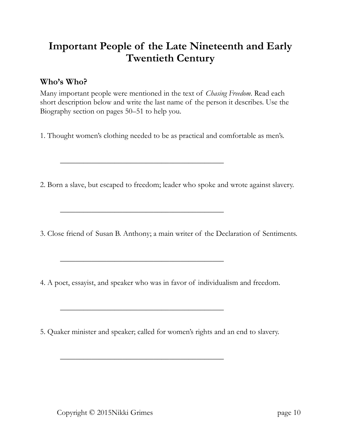# **Important People of the Late Nineteenth and Early Twentieth Century**

# **Who's Who?**

Many important people were mentioned in the text of *Chasing Freedom*. Read each short description below and write the last name of the person it describes. Use the Biography section on pages 50–51 to help you.

1. Thought women's clothing needed to be as practical and comfortable as men's.

 $\frac{1}{2}$  ,  $\frac{1}{2}$  ,  $\frac{1}{2}$  ,  $\frac{1}{2}$  ,  $\frac{1}{2}$  ,  $\frac{1}{2}$  ,  $\frac{1}{2}$  ,  $\frac{1}{2}$  ,  $\frac{1}{2}$  ,  $\frac{1}{2}$  ,  $\frac{1}{2}$  ,  $\frac{1}{2}$  ,  $\frac{1}{2}$  ,  $\frac{1}{2}$  ,  $\frac{1}{2}$  ,  $\frac{1}{2}$  ,  $\frac{1}{2}$  ,  $\frac{1}{2}$  ,  $\frac{1$ 

 $\frac{1}{2}$  ,  $\frac{1}{2}$  ,  $\frac{1}{2}$  ,  $\frac{1}{2}$  ,  $\frac{1}{2}$  ,  $\frac{1}{2}$  ,  $\frac{1}{2}$  ,  $\frac{1}{2}$  ,  $\frac{1}{2}$  ,  $\frac{1}{2}$  ,  $\frac{1}{2}$  ,  $\frac{1}{2}$  ,  $\frac{1}{2}$  ,  $\frac{1}{2}$  ,  $\frac{1}{2}$  ,  $\frac{1}{2}$  ,  $\frac{1}{2}$  ,  $\frac{1}{2}$  ,  $\frac{1$ 

 $\frac{1}{2}$  ,  $\frac{1}{2}$  ,  $\frac{1}{2}$  ,  $\frac{1}{2}$  ,  $\frac{1}{2}$  ,  $\frac{1}{2}$  ,  $\frac{1}{2}$  ,  $\frac{1}{2}$  ,  $\frac{1}{2}$  ,  $\frac{1}{2}$  ,  $\frac{1}{2}$  ,  $\frac{1}{2}$  ,  $\frac{1}{2}$  ,  $\frac{1}{2}$  ,  $\frac{1}{2}$  ,  $\frac{1}{2}$  ,  $\frac{1}{2}$  ,  $\frac{1}{2}$  ,  $\frac{1$ 

 $\frac{1}{2}$  ,  $\frac{1}{2}$  ,  $\frac{1}{2}$  ,  $\frac{1}{2}$  ,  $\frac{1}{2}$  ,  $\frac{1}{2}$  ,  $\frac{1}{2}$  ,  $\frac{1}{2}$  ,  $\frac{1}{2}$  ,  $\frac{1}{2}$  ,  $\frac{1}{2}$  ,  $\frac{1}{2}$  ,  $\frac{1}{2}$  ,  $\frac{1}{2}$  ,  $\frac{1}{2}$  ,  $\frac{1}{2}$  ,  $\frac{1}{2}$  ,  $\frac{1}{2}$  ,  $\frac{1$ 

 $\frac{1}{2}$  ,  $\frac{1}{2}$  ,  $\frac{1}{2}$  ,  $\frac{1}{2}$  ,  $\frac{1}{2}$  ,  $\frac{1}{2}$  ,  $\frac{1}{2}$  ,  $\frac{1}{2}$  ,  $\frac{1}{2}$  ,  $\frac{1}{2}$  ,  $\frac{1}{2}$  ,  $\frac{1}{2}$  ,  $\frac{1}{2}$  ,  $\frac{1}{2}$  ,  $\frac{1}{2}$  ,  $\frac{1}{2}$  ,  $\frac{1}{2}$  ,  $\frac{1}{2}$  ,  $\frac{1$ 

2. Born a slave, but escaped to freedom; leader who spoke and wrote against slavery.

3. Close friend of Susan B. Anthony; a main writer of the Declaration of Sentiments.

4. A poet, essayist, and speaker who was in favor of individualism and freedom.

5. Quaker minister and speaker; called for women's rights and an end to slavery.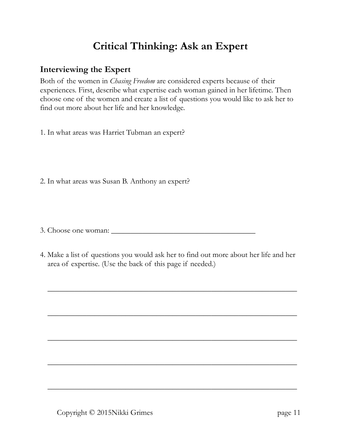# **Critical Thinking: Ask an Expert**

# **Interviewing the Expert**

Both of the women in *Chasing Freedom* are considered experts because of their experiences. First, describe what expertise each woman gained in her lifetime. Then choose one of the women and create a list of questions you would like to ask her to find out more about her life and her knowledge.

- 1. In what areas was Harriet Tubman an expert?
- 2. In what areas was Susan B. Anthony an expert?

3. Choose one woman:

4. Make a list of questions you would ask her to find out more about her life and her area of expertise. (Use the back of this page if needed.)

 $\overline{\phantom{a}}$  , and the contract of the contract of the contract of the contract of the contract of the contract of the contract of the contract of the contract of the contract of the contract of the contract of the contrac

 $\overline{\phantom{a}}$  , and the contract of the contract of the contract of the contract of the contract of the contract of the contract of the contract of the contract of the contract of the contract of the contract of the contrac

\_\_\_\_\_\_\_\_\_\_\_\_\_\_\_\_\_\_\_\_\_\_\_\_\_\_\_\_\_\_\_\_\_\_\_\_\_\_\_\_\_\_\_\_\_\_\_\_\_\_\_\_\_\_\_\_\_\_\_\_\_\_\_\_

 $\overline{\phantom{a}}$  , and the contract of the contract of the contract of the contract of the contract of the contract of the contract of the contract of the contract of the contract of the contract of the contract of the contrac

\_\_\_\_\_\_\_\_\_\_\_\_\_\_\_\_\_\_\_\_\_\_\_\_\_\_\_\_\_\_\_\_\_\_\_\_\_\_\_\_\_\_\_\_\_\_\_\_\_\_\_\_\_\_\_\_\_\_\_\_\_\_\_\_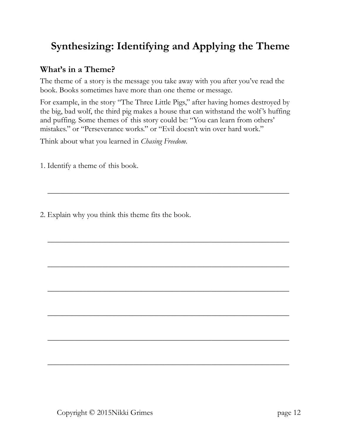# **Synthesizing: Identifying and Applying the Theme**

# **What's in a Theme?**

The theme of a story is the message you take away with you after you've read the book. Books sometimes have more than one theme or message.

For example, in the story "The Three Little Pigs," after having homes destroyed by the big, bad wolf, the third pig makes a house that can withstand the wolf 's huffing and puffing. Some themes of this story could be: "You can learn from others' mistakes." or "Perseverance works." or "Evil doesn't win over hard work."

\_\_\_\_\_\_\_\_\_\_\_\_\_\_\_\_\_\_\_\_\_\_\_\_\_\_\_\_\_\_\_\_\_\_\_\_\_\_\_\_\_\_\_\_\_\_\_\_\_\_\_\_\_\_\_\_\_\_\_\_\_\_

 $\overline{\phantom{a}}$  , and the contract of the contract of the contract of the contract of the contract of the contract of the contract of the contract of the contract of the contract of the contract of the contract of the contrac

\_\_\_\_\_\_\_\_\_\_\_\_\_\_\_\_\_\_\_\_\_\_\_\_\_\_\_\_\_\_\_\_\_\_\_\_\_\_\_\_\_\_\_\_\_\_\_\_\_\_\_\_\_\_\_\_\_\_\_\_\_\_

 $\overline{\phantom{a}}$  , and the contract of the contract of the contract of the contract of the contract of the contract of the contract of the contract of the contract of the contract of the contract of the contract of the contrac

 $\overline{\phantom{a}}$  , and the contract of the contract of the contract of the contract of the contract of the contract of the contract of the contract of the contract of the contract of the contract of the contract of the contrac

\_\_\_\_\_\_\_\_\_\_\_\_\_\_\_\_\_\_\_\_\_\_\_\_\_\_\_\_\_\_\_\_\_\_\_\_\_\_\_\_\_\_\_\_\_\_\_\_\_\_\_\_\_\_\_\_\_\_\_\_\_\_

 $\overline{\phantom{a}}$  , and the contract of the contract of the contract of the contract of the contract of the contract of the contract of the contract of the contract of the contract of the contract of the contract of the contrac

Think about what you learned in *Chasing Freedom*.

1. Identify a theme of this book.

2. Explain why you think this theme fits the book.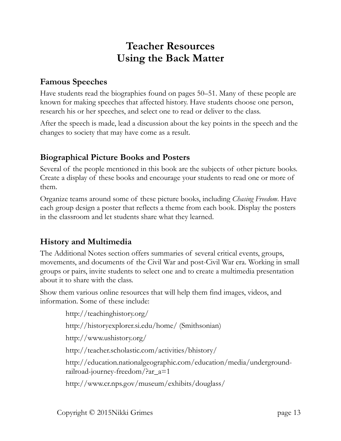# **Teacher Resources Using the Back Matter**

# **Famous Speeches**

Have students read the biographies found on pages 50–51. Many of these people are known for making speeches that affected history. Have students choose one person, research his or her speeches, and select one to read or deliver to the class.

After the speech is made, lead a discussion about the key points in the speech and the changes to society that may have come as a result.

# **Biographical Picture Books and Posters**

Several of the people mentioned in this book are the subjects of other picture books. Create a display of these books and encourage your students to read one or more of them.

Organize teams around some of these picture books, including *Chasing Freedom*. Have each group design a poster that reflects a theme from each book. Display the posters in the classroom and let students share what they learned.

# **History and Multimedia**

The Additional Notes section offers summaries of several critical events, groups, movements, and documents of the Civil War and post-Civil War era. Working in small groups or pairs, invite students to select one and to create a multimedia presentation about it to share with the class.

Show them various online resources that will help them find images, videos, and information. Some of these include:

> http://teachinghistory.org/ http://historyexplorer.si.edu/home/ (Smithsonian) http://www.ushistory.org/ http://teacher.scholastic.com/activities/bhistory/ http://education.nationalgeographic.com/education/media/undergroundrailroad-journey-freedom/?ar\_a=1 http://www.cr.nps.gov/museum/exhibits/douglass/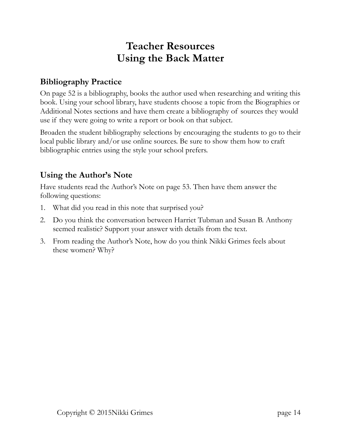# **Teacher Resources Using the Back Matter**

# **Bibliography Practice**

On page 52 is a bibliography, books the author used when researching and writing this book. Using your school library, have students choose a topic from the Biographies or Additional Notes sections and have them create a bibliography of sources they would use if they were going to write a report or book on that subject.

Broaden the student bibliography selections by encouraging the students to go to their local public library and/or use online sources. Be sure to show them how to craft bibliographic entries using the style your school prefers.

# **Using the Author's Note**

Have students read the Author's Note on page 53. Then have them answer the following questions:

- 1. What did you read in this note that surprised you?
- 2. Do you think the conversation between Harriet Tubman and Susan B. Anthony seemed realistic? Support your answer with details from the text.
- 3. From reading the Author's Note, how do you think Nikki Grimes feels about these women? Why?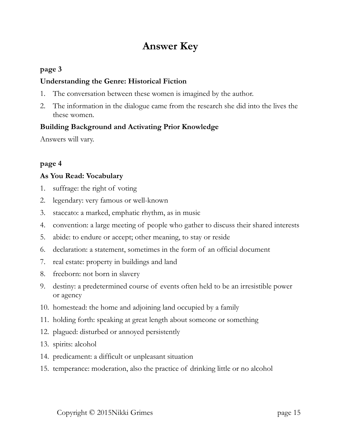# **Answer Key**

### **page 3**

# **Understanding the Genre: Historical Fiction**

- 1. The conversation between these women is imagined by the author.
- 2. The information in the dialogue came from the research she did into the lives the these women.

# **Building Background and Activating Prior Knowledge**

Answers will vary.

# **page 4**

# **As You Read: Vocabulary**

- 1. suffrage: the right of voting
- 2. legendary: very famous or well-known
- 3. staccato: a marked, emphatic rhythm, as in music
- 4. convention: a large meeting of people who gather to discuss their shared interests
- 5. abide: to endure or accept; other meaning, to stay or reside
- 6. declaration: a statement, sometimes in the form of an official document
- 7. real estate: property in buildings and land
- 8. freeborn: not born in slavery
- 9. destiny: a predetermined course of events often held to be an irresistible power or agency
- 10. homestead: the home and adjoining land occupied by a family
- 11. holding forth: speaking at great length about someone or something
- 12. plagued: disturbed or annoyed persistently
- 13. spirits: alcohol
- 14. predicament: a difficult or unpleasant situation
- 15. temperance: moderation, also the practice of drinking little or no alcohol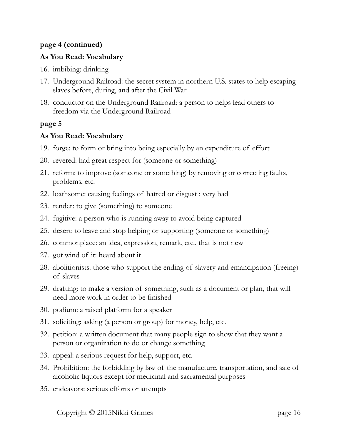#### **page 4 (continued)**

### **As You Read: Vocabulary**

- 16. imbibing: drinking
- 17. Underground Railroad: the secret system in northern U.S. states to help escaping slaves before, during, and after the Civil War.
- 18. conductor on the Underground Railroad: a person to helps lead others to freedom via the Underground Railroad

### **page 5**

### **As You Read: Vocabulary**

- 19. forge: to form or bring into being especially by an expenditure of effort
- 20. revered: had great respect for (someone or something)
- 21. reform: to improve (someone or something) by removing or correcting faults, problems, etc.
- 22. loathsome: causing feelings of hatred or disgust : very bad
- 23. render: to give (something) to someone
- 24. fugitive: a person who is running away to avoid being captured
- 25. desert: to leave and stop helping or supporting (someone or something)
- 26. commonplace: an idea, expression, remark, etc., that is not new
- 27. got wind of it: heard about it
- 28. abolitionists: those who support the ending of slavery and emancipation (freeing) of slaves
- 29. drafting: to make a version of something, such as a document or plan, that will need more work in order to be finished
- 30. podium: a raised platform for a speaker
- 31. soliciting: asking (a person or group) for money, help, etc.
- 32. petition: a written document that many people sign to show that they want a person or organization to do or change something
- 33. appeal: a serious request for help, support, etc.
- 34. Prohibition: the forbidding by law of the manufacture, transportation, and sale of alcoholic liquors except for medicinal and sacramental purposes
- 35. endeavors: serious efforts or attempts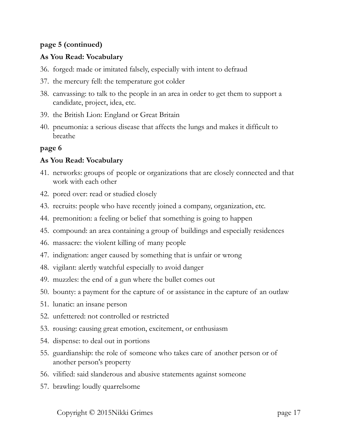#### **page 5 (continued)**

#### **As You Read: Vocabulary**

- 36. forged: made or imitated falsely, especially with intent to defraud
- 37. the mercury fell: the temperature got colder
- 38. canvassing: to talk to the people in an area in order to get them to support a candidate, project, idea, etc.
- 39. the British Lion: England or Great Britain
- 40. pneumonia: a serious disease that affects the lungs and makes it difficult to breathe

#### **page 6**

#### **As You Read: Vocabulary**

- 41. networks: groups of people or organizations that are closely connected and that work with each other
- 42. pored over: read or studied closely
- 43. recruits: people who have recently joined a company, organization, etc.
- 44. premonition: a feeling or belief that something is going to happen
- 45. compound: an area containing a group of buildings and especially residences
- 46. massacre: the violent killing of many people
- 47. indignation: anger caused by something that is unfair or wrong
- 48. vigilant: alertly watchful especially to avoid danger
- 49. muzzles: the end of a gun where the bullet comes out
- 50. bounty: a payment for the capture of or assistance in the capture of an outlaw
- 51. lunatic: an insane person
- 52. unfettered: not controlled or restricted
- 53. rousing: causing great emotion, excitement, or enthusiasm
- 54. dispense: to deal out in portions
- 55. guardianship: the role of someone who takes care of another person or of another person's property
- 56. vilified: said slanderous and abusive statements against someone
- 57. brawling: loudly quarrelsome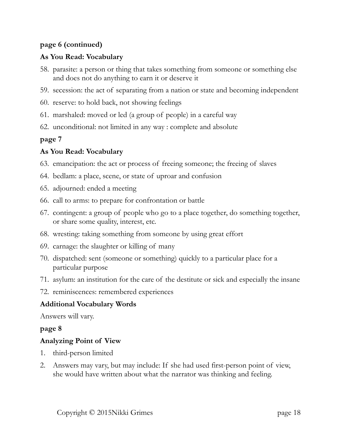### **page 6 (continued)**

### **As You Read: Vocabulary**

- 58. parasite: a person or thing that takes something from someone or something else and does not do anything to earn it or deserve it
- 59. secession: the act of separating from a nation or state and becoming independent
- 60. reserve: to hold back, not showing feelings
- 61. marshaled: moved or led (a group of people) in a careful way
- 62. unconditional: not limited in any way : complete and absolute

# **page 7**

# **As You Read: Vocabulary**

- 63. emancipation: the act or process of freeing someone; the freeing of slaves
- 64. bedlam: a place, scene, or state of uproar and confusion
- 65. adjourned: ended a meeting
- 66. call to arms: to prepare for confrontation or battle
- 67. contingent: a group of people who go to a place together, do something together, or share some quality, interest, etc.
- 68. wresting: taking something from someone by using great effort
- 69. carnage: the slaughter or killing of many
- 70. dispatched: sent (someone or something) quickly to a particular place for a particular purpose
- 71. asylum: an institution for the care of the destitute or sick and especially the insane
- 72. reminiscences: remembered experiences

# **Additional Vocabulary Words**

Answers will vary.

#### **page 8**

# **Analyzing Point of View**

- 1. third-person limited
- 2. Answers may vary, but may include: If she had used first-person point of view, she would have written about what the narrator was thinking and feeling.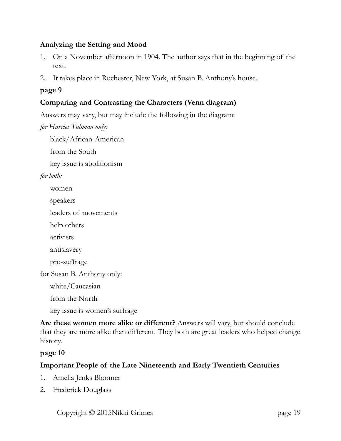### **Analyzing the Setting and Mood**

- 1. On a November afternoon in 1904. The author says that in the beginning of the text.
- 2. It takes place in Rochester, New York, at Susan B. Anthony's house.

### **page 9**

# **Comparing and Contrasting the Characters (Venn diagram)**

Answers may vary, but may include the following in the diagram:

*for Harriet Tubman only:* 

black/African-American

from the South

key issue is abolitionism

*for both:* 

women

speakers

leaders of movements

help others

activists

antislavery

pro-suffrage

for Susan B. Anthony only:

white/Caucasian

from the North

key issue is women's suffrage

**Are these women more alike or different?** Answers will vary, but should conclude that they are more alike than different. They both are great leaders who helped change history.

#### **page 10**

#### **Important People of the Late Nineteenth and Early Twentieth Centuries**

- 1. Amelia Jenks Bloomer
- 2. Frederick Douglass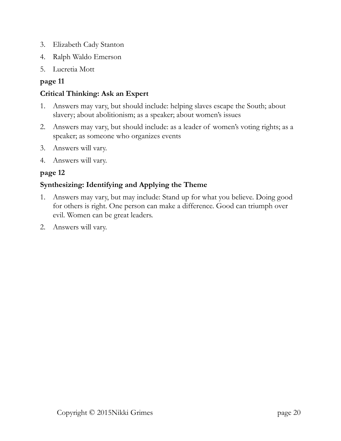- 3. Elizabeth Cady Stanton
- 4. Ralph Waldo Emerson
- 5. Lucretia Mott

# **page 11**

# **Critical Thinking: Ask an Expert**

- 1. Answers may vary, but should include: helping slaves escape the South; about slavery; about abolitionism; as a speaker; about women's issues
- 2. Answers may vary, but should include: as a leader of women's voting rights; as a speaker; as someone who organizes events
- 3. Answers will vary.
- 4. Answers will vary.

# **page 12**

# **Synthesizing: Identifying and Applying the Theme**

- 1. Answers may vary, but may include: Stand up for what you believe. Doing good for others is right. One person can make a difference. Good can triumph over evil. Women can be great leaders.
- 2. Answers will vary.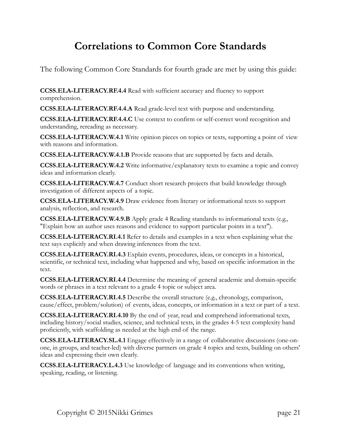# **Correlations to Common Core Standards**

The following Common Core Standards for fourth grade are met by using this guide:

**CCSS.ELA-LITERACY.RF.4.4** Read with sufficient accuracy and fluency to support comprehension.

**CCSS.ELA-LITERACY.RF.4.4.A** Read grade-level text with purpose and understanding.

**CCSS.ELA-LITERACY.RF.4.4.C** Use context to confirm or self-correct word recognition and understanding, rereading as necessary.

**CCSS.ELA-LITERACY.W.4.1** Write opinion pieces on topics or texts, supporting a point of view with reasons and information.

**CCSS.ELA-LITERACY.W.4.1.B** Provide reasons that are supported by facts and details.

**CCSS.ELA-LITERACY.W.4.2** Write informative/explanatory texts to examine a topic and convey ideas and information clearly.

**CCSS.ELA-LITERACY.W.4.7** Conduct short research projects that build knowledge through investigation of different aspects of a topic.

**CCSS.ELA-LITERACY.W.4.9** Draw evidence from literary or informational texts to support analysis, reflection, and research.

**CCSS.ELA-LITERACY.W.4.9.B** Apply grade 4 Reading standards to informational texts (e.g., "Explain how an author uses reasons and evidence to support particular points in a text").

**CCSS.ELA-LITERACY.RI.4.1** Refer to details and examples in a text when explaining what the text says explicitly and when drawing inferences from the text.

**CCSS.ELA-LITERACY.RI.4.3** Explain events, procedures, ideas, or concepts in a historical, scientific, or technical text, including what happened and why, based on specific information in the text.

**CCSS.ELA-LITERACY.RI.4.4** Determine the meaning of general academic and domain-specific words or phrases in a text relevant to a grade 4 topic or subject area.

**CCSS.ELA-LITERACY.RI.4.5** Describe the overall structure (e.g., chronology, comparison, cause/effect, problem/solution) of events, ideas, concepts, or information in a text or part of a text.

**CCSS.ELA-LITERACY.RI.4.10** By the end of year, read and comprehend informational texts, including history/social studies, science, and technical texts, in the grades 4-5 text complexity band proficiently, with scaffolding as needed at the high end of the range.

**CCSS.ELA-LITERACY.SL.4.1** Engage effectively in a range of collaborative discussions (one-onone, in groups, and teacher-led) with diverse partners on grade 4 topics and texts, building on others' ideas and expressing their own clearly.

**CCSS.ELA-LITERACY.L.4.3** Use knowledge of language and its conventions when writing, speaking, reading, or listening.